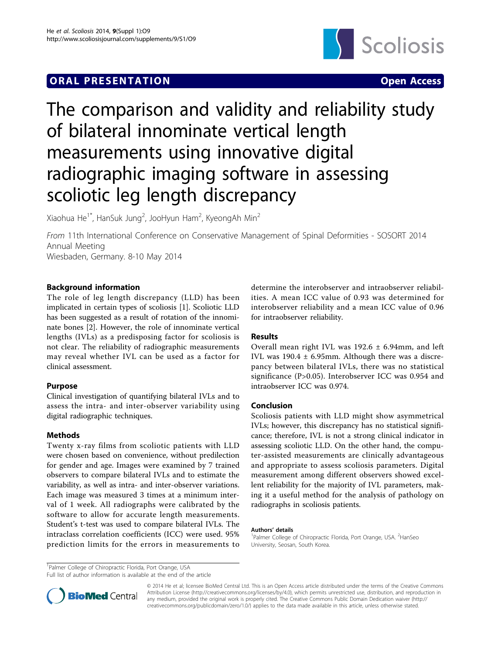# **ORAL PRESENTATION CONSUMING ACCESS**



# The comparison and validity and reliability study of bilateral innominate vertical length measurements using innovative digital radiographic imaging software in assessing scoliotic leg length discrepancy

Xiaohua He $^{1^\ast}$ , HanSuk Jung $^2$ , JooHyun Ham $^2$ , KyeongAh Min $^2$ 

From 11th International Conference on Conservative Management of Spinal Deformities - SOSORT 2014 Annual Meeting Wiesbaden, Germany. 8-10 May 2014

Background information

The role of leg length discrepancy (LLD) has been implicated in certain types of scoliosis [[1\]](#page--1-0). Scoliotic LLD has been suggested as a result of rotation of the innominate bones [[2\]](#page--1-0). However, the role of innominate vertical lengths (IVLs) as a predisposing factor for scoliosis is not clear. The reliability of radiographic measurements may reveal whether IVL can be used as a factor for clinical assessment.

# Purpose

Clinical investigation of quantifying bilateral IVLs and to assess the intra- and inter-observer variability using digital radiographic techniques.

# **Methods**

Twenty x-ray films from scoliotic patients with LLD were chosen based on convenience, without predilection for gender and age. Images were examined by 7 trained observers to compare bilateral IVLs and to estimate the variability, as well as intra- and inter-observer variations. Each image was measured 3 times at a minimum interval of 1 week. All radiographs were calibrated by the software to allow for accurate length measurements. Student's t-test was used to compare bilateral IVLs. The intraclass correlation coefficients (ICC) were used. 95% prediction limits for the errors in measurements to determine the interobserver and intraobserver reliabilities. A mean ICC value of 0.93 was determined for interobserver reliability and a mean ICC value of 0.96 for intraobserver reliability.

# Results

Overall mean right IVL was  $192.6 \pm 6.94$ mm, and left IVL was 190.4 ± 6.95mm. Although there was a discrepancy between bilateral IVLs, there was no statistical significance (P>0.05). Interobserver ICC was 0.954 and intraobserver ICC was 0.974.

# Conclusion

Scoliosis patients with LLD might show asymmetrical IVLs; however, this discrepancy has no statistical significance; therefore, IVL is not a strong clinical indicator in assessing scoliotic LLD. On the other hand, the computer-assisted measurements are clinically advantageous and appropriate to assess scoliosis parameters. Digital measurement among different observers showed excellent reliability for the majority of IVL parameters, making it a useful method for the analysis of pathology on radiographs in scoliosis patients.

#### Authors' details <sup>1</sup>

Palmer College of Chiropractic Florida, Port Orange, USA. <sup>2</sup>HanSeo University, Seosan, South Korea.

<sup>1</sup>Palmer College of Chiropractic Florida, Port Orange, USA

Full list of author information is available at the end of the article



© 2014 He et al; licensee BioMed Central Ltd. This is an Open Access article distributed under the terms of the Creative Commons Attribution License [\(http://creativecommons.org/licenses/by/4.0](http://creativecommons.org/licenses/by/4.0)), which permits unrestricted use, distribution, and reproduction in any medium, provided the original work is properly cited. The Creative Commons Public Domain Dedication waiver [\(http://](http://creativecommons.org/publicdomain/zero/1.0/) [creativecommons.org/publicdomain/zero/1.0/](http://creativecommons.org/publicdomain/zero/1.0/)) applies to the data made available in this article, unless otherwise stated.